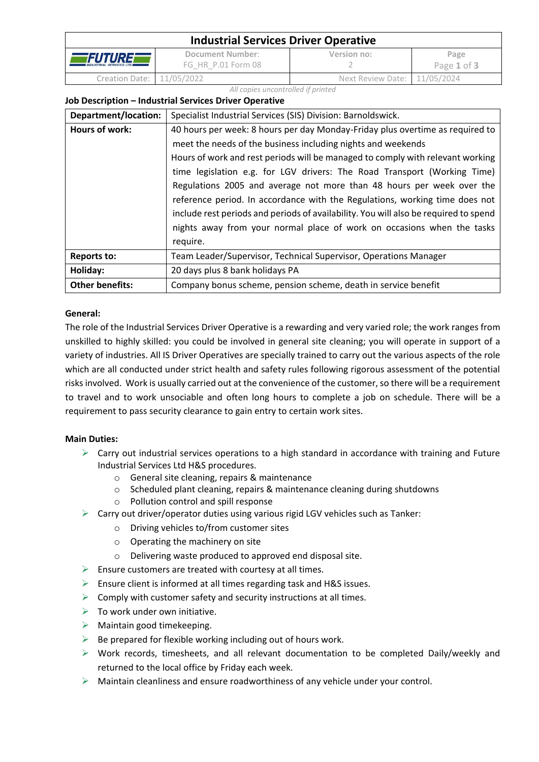| <b>Industrial Services Driver Operative</b>  |                                        |                                |                     |
|----------------------------------------------|----------------------------------------|--------------------------------|---------------------|
| FUTURE<br><b>INDUSTRIAL SERVICES LTD III</b> | Document Number:<br>FG HR P.01 Form 08 | Version no:                    | Page<br>Page 1 of 3 |
| Creation Date: 11/05/2022                    |                                        | Next Review Date: $11/05/2024$ |                     |

#### *All copies uncontrolled if printed*

## **Job Description – Industrial Services Driver Operative**

| Department/location:   | Specialist Industrial Services (SIS) Division: Barnoldswick.                         |  |  |
|------------------------|--------------------------------------------------------------------------------------|--|--|
| Hours of work:         | 40 hours per week: 8 hours per day Monday-Friday plus overtime as required to        |  |  |
|                        | meet the needs of the business including nights and weekends                         |  |  |
|                        | Hours of work and rest periods will be managed to comply with relevant working       |  |  |
|                        | time legislation e.g. for LGV drivers: The Road Transport (Working Time)             |  |  |
|                        | Regulations 2005 and average not more than 48 hours per week over the                |  |  |
|                        | reference period. In accordance with the Regulations, working time does not          |  |  |
|                        | include rest periods and periods of availability. You will also be required to spend |  |  |
|                        | nights away from your normal place of work on occasions when the tasks               |  |  |
|                        | require.                                                                             |  |  |
| <b>Reports to:</b>     | Team Leader/Supervisor, Technical Supervisor, Operations Manager                     |  |  |
| Holiday:               | 20 days plus 8 bank holidays PA                                                      |  |  |
| <b>Other benefits:</b> | Company bonus scheme, pension scheme, death in service benefit                       |  |  |

## **General:**

The role of the Industrial Services Driver Operative is a rewarding and very varied role; the work ranges from unskilled to highly skilled: you could be involved in general site cleaning; you will operate in support of a variety of industries. All IS Driver Operatives are specially trained to carry out the various aspects of the role which are all conducted under strict health and safety rules following rigorous assessment of the potential risks involved. Work is usually carried out at the convenience of the customer, so there will be a requirement to travel and to work unsociable and often long hours to complete a job on schedule. There will be a requirement to pass security clearance to gain entry to certain work sites.

## **Main Duties:**

- $\triangleright$  Carry out industrial services operations to a high standard in accordance with training and Future Industrial Services Ltd H&S procedures.
	- o General site cleaning, repairs & maintenance
	- o Scheduled plant cleaning, repairs & maintenance cleaning during shutdowns
	- o Pollution control and spill response
- $\triangleright$  Carry out driver/operator duties using various rigid LGV vehicles such as Tanker:
	- o Driving vehicles to/from customer sites
	- o Operating the machinery on site
	- o Delivering waste produced to approved end disposal site.
- $\triangleright$  Ensure customers are treated with courtesy at all times.
- $\triangleright$  Ensure client is informed at all times regarding task and H&S issues.
- $\triangleright$  Comply with customer safety and security instructions at all times.
- $\triangleright$  To work under own initiative.
- $\triangleright$  Maintain good timekeeping.
- $\triangleright$  Be prepared for flexible working including out of hours work.
- $\triangleright$  Work records, timesheets, and all relevant documentation to be completed Daily/weekly and returned to the local office by Friday each week.
- $\triangleright$  Maintain cleanliness and ensure roadworthiness of any vehicle under your control.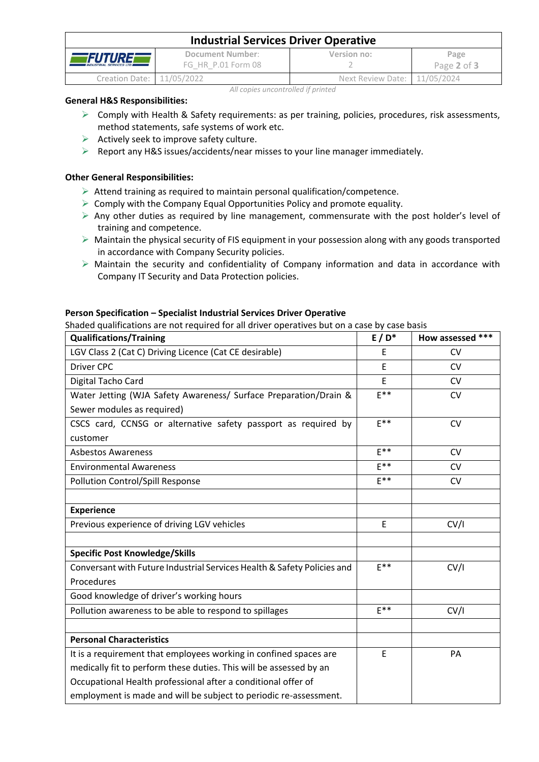| <b>Industrial Services Driver Operative</b>          |                                        |                              |                     |
|------------------------------------------------------|----------------------------------------|------------------------------|---------------------|
| <i>FUTUREF</i><br><b>INDUSTRIAL SERVICES LTD III</b> | Document Number:<br>FG HR P.01 Form 08 | Version no:                  | Page<br>Page 2 of 3 |
| Creation Date: 11/05/2022                            |                                        | Next Review Date: 11/05/2024 |                     |

*All copies uncontrolled if printed*

## **General H&S Responsibilities:**

- ➢ Comply with Health & Safety requirements: as per training, policies, procedures, risk assessments, method statements, safe systems of work etc.
- $\triangleright$  Actively seek to improve safety culture.
- $\triangleright$  Report any H&S issues/accidents/near misses to your line manager immediately.

# **Other General Responsibilities:**

- ➢ Attend training as required to maintain personal qualification/competence.
- $\triangleright$  Comply with the Company Equal Opportunities Policy and promote equality.
- $\triangleright$  Any other duties as required by line management, commensurate with the post holder's level of training and competence.
- ➢ Maintain the physical security of FIS equipment in your possession along with any goods transported in accordance with Company Security policies.
- ➢ Maintain the security and confidentiality of Company information and data in accordance with Company IT Security and Data Protection policies.

# **Person Specification – Specialist Industrial Services Driver Operative**

Shaded qualifications are not required for all driver operatives but on a case by case basis

| <b>Qualifications/Training</b>                                          | $E/D^*$  | How assessed *** |
|-------------------------------------------------------------------------|----------|------------------|
| LGV Class 2 (Cat C) Driving Licence (Cat CE desirable)                  | E        | <b>CV</b>        |
| <b>Driver CPC</b>                                                       | E        | <b>CV</b>        |
| Digital Tacho Card                                                      | E        | <b>CV</b>        |
| Water Jetting (WJA Safety Awareness/ Surface Preparation/Drain &        | $F^{**}$ | CV               |
| Sewer modules as required)                                              |          |                  |
| CSCS card, CCNSG or alternative safety passport as required by          | $F^*$    | <b>CV</b>        |
| customer                                                                |          |                  |
| <b>Asbestos Awareness</b>                                               | $F^{**}$ | <b>CV</b>        |
| <b>Environmental Awareness</b>                                          | $F^*$    | <b>CV</b>        |
| <b>Pollution Control/Spill Response</b>                                 | $E***$   | <b>CV</b>        |
|                                                                         |          |                  |
| <b>Experience</b>                                                       |          |                  |
| Previous experience of driving LGV vehicles                             | E        | CV/I             |
|                                                                         |          |                  |
| <b>Specific Post Knowledge/Skills</b>                                   |          |                  |
| Conversant with Future Industrial Services Health & Safety Policies and | $E^{**}$ | CV/I             |
| Procedures                                                              |          |                  |
| Good knowledge of driver's working hours                                |          |                  |
| Pollution awareness to be able to respond to spillages                  | $F**$    | CV/I             |
|                                                                         |          |                  |
| <b>Personal Characteristics</b>                                         |          |                  |
| It is a requirement that employees working in confined spaces are       | E        | PA               |
| medically fit to perform these duties. This will be assessed by an      |          |                  |
| Occupational Health professional after a conditional offer of           |          |                  |
| employment is made and will be subject to periodic re-assessment.       |          |                  |